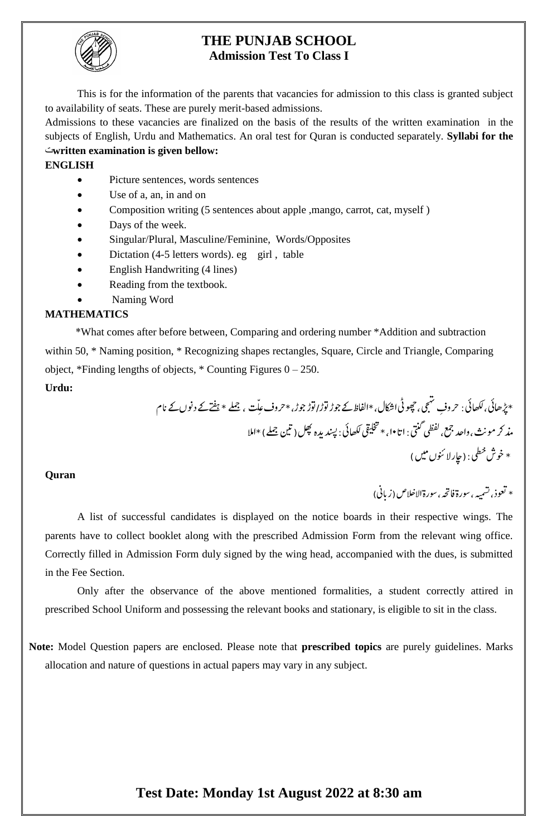

#### **THE PUNJAB SCHOOL Admission Test To Class I**

This is for the information of the parents that vacancies for admission to this class is granted subject to availability of seats. These are purely merit-based admissions.

Admissions to these vacancies are finalized on the basis of the results of the written examination in the subjects of English, Urdu and Mathematics. An oral test for Quran is conducted separately. **Syllabi for the**  ت**written examination is given bellow:**

#### **ENGLISH**

- Picture sentences, words sentences
- Use of a, an, in and on
- Composition writing (5 sentences about apple ,mango, carrot, cat, myself )
- Days of the week.
- Singular/Plural, Masculine/Feminine, Words/Opposites
- Dictation (4-5 letters words). eg girl, table
- English Handwriting (4 lines)
- Reading from the textbook.
- Naming Word

#### **MATHEMATICS**

\*What comes after before between, Comparing and ordering number \*Addition and subtraction within 50,  $*$  Naming position,  $*$  Recognizing shapes rectangles, Square, Circle and Triangle, Comparing object, \*Finding lengths of objects, \* Counting Figures 0 – 250.  $\overline{a}$ 

#### **Urdu:**

\*ڑپاھیئ، اھکلیئ: رحو ف ي، ج ه ت وھچیٹ ا اکشل،\*اافلظ ،\* وجڑ /وتڑ وتڑ ےکوجڑ رحو ف ع ل ت ، ےلمج ام \*ےتفهےکدونںےکن ،وادحعمج،يظفليتنگ: ث ۱ ا ذمرکومن ن ،۱۰ \* یقیلخت اھکلیئ:دنسپن دهلھپ ال م )نيتےلمج(\*ا ط \* ي خ وخش :)اچڑ الونئں ںيم(

#### **Quran**

 $\overline{a}$ \* لعوذ، تشميه ، سور**ة فاتح**ه  $\overline{\phantom{a}}$  $\overline{a}$ ، سورة الاخلاص (زبانی) l,  $\overline{a}$ 

A list of successful candidates is displayed on the notice boards in their respective wings. The parents have to collect booklet along with the prescribed Admission Form from the relevant wing office. Correctly filled in Admission Form duly signed by the wing head, accompanied with the dues, is submitted in the Fee Section.

Only after the observance of the above mentioned formalities, a student correctly attired in prescribed School Uniform and possessing the relevant books and stationary, is eligible to sit in the class.

**Note:** Model Question papers are enclosed. Please note that **prescribed topics** are purely guidelines. Marks allocation and nature of questions in actual papers may vary in any subject.

## **Test Date: Monday 1st August 2022 at 8:30 am**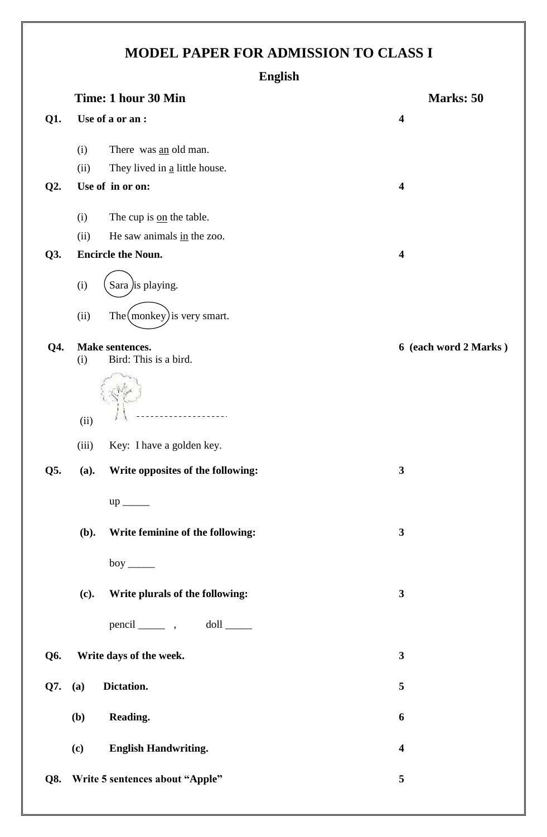# **MODEL PAPER FOR ADMISSION TO CLASS I**

|        |                                 | <b>English</b>                              |                         |
|--------|---------------------------------|---------------------------------------------|-------------------------|
|        |                                 | Time: 1 hour 30 Min                         | Marks: 50               |
| Q1.    |                                 | Use of a or an :                            | $\overline{\mathbf{4}}$ |
|        | (i)                             | There was an old man.                       |                         |
|        | (ii)                            | They lived in $\underline{a}$ little house. |                         |
| $Q2$ . |                                 | Use of in or on:                            | 4                       |
|        | (i)                             | The cup is on the table.                    |                         |
|        | (ii)                            | He saw animals in the zoo.                  |                         |
| Q3.    |                                 | <b>Encircle the Noun.</b>                   | $\overline{\mathbf{4}}$ |
|        | (i)                             | Sara <i>j</i> is playing.                   |                         |
|        | (ii)                            | The $(monkey)$ is very smart.               |                         |
| Q4.    | (i)                             | Make sentences.<br>Bird: This is a bird.    | 6 (each word 2 Marks)   |
|        | (ii)                            |                                             |                         |
|        | (iii)                           | Key: I have a golden key.                   |                         |
| Q5.    | (a).                            | Write opposites of the following:           | 3                       |
|        |                                 | $up$ <sub>_____</sub>                       |                         |
|        | (b).                            | Write feminine of the following:            | $\mathbf{3}$            |
|        |                                 | boy $\_\_\_\_\_\$                           |                         |
|        | (c).                            | Write plurals of the following:             | $\mathbf{3}$            |
|        |                                 | pencil ________ , doll ______               |                         |
| Q6.    |                                 | Write days of the week.                     | $\mathbf{3}$            |
| Q7.    | (a)                             | Dictation.                                  | 5                       |
|        | <b>(b)</b>                      | Reading.                                    | 6                       |
|        | (c)                             | <b>English Handwriting.</b>                 | 4                       |
| Q8.    | Write 5 sentences about "Apple" | 5                                           |                         |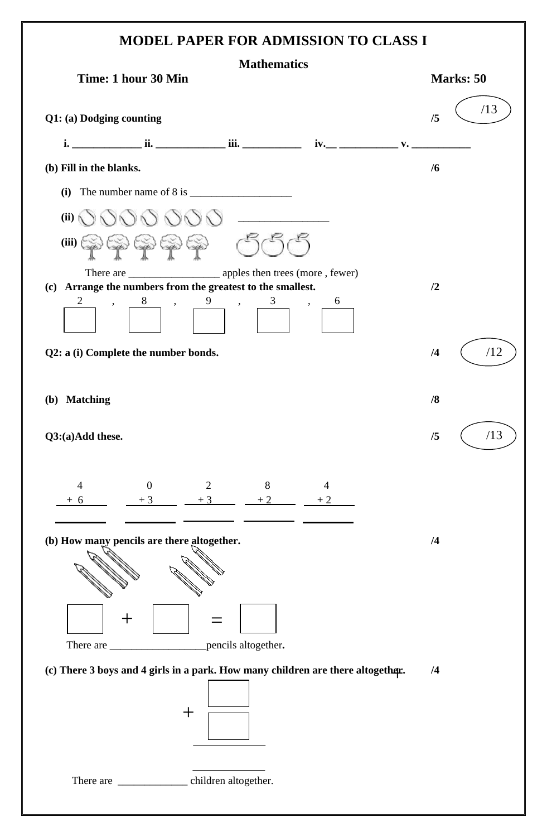### **MODEL PAPER FOR ADMISSION TO CLASS I**

| Time: 1 hour 30 Min      |                                                                                                                                                                                                  |                                                                                                                                                                                                                                                                                                                                             |                               |  | Marks: 50 |     |  |
|--------------------------|--------------------------------------------------------------------------------------------------------------------------------------------------------------------------------------------------|---------------------------------------------------------------------------------------------------------------------------------------------------------------------------------------------------------------------------------------------------------------------------------------------------------------------------------------------|-------------------------------|--|-----------|-----|--|
| Q1: (a) Dodging counting |                                                                                                                                                                                                  |                                                                                                                                                                                                                                                                                                                                             |                               |  | /5        | /13 |  |
|                          |                                                                                                                                                                                                  |                                                                                                                                                                                                                                                                                                                                             |                               |  |           |     |  |
| (b) Fill in the blanks.  |                                                                                                                                                                                                  |                                                                                                                                                                                                                                                                                                                                             |                               |  |           |     |  |
|                          |                                                                                                                                                                                                  | (i) The number name of $8$ is $\_\_\_\_\_\_\_\_\_\_\_\_\_\_\_\_\_\_\_\_\_\_\_\_\_$                                                                                                                                                                                                                                                          |                               |  |           |     |  |
| (ii)                     |                                                                                                                                                                                                  | $\begin{picture}(180,170) \put(0,0){\line(1,0){100}} \put(10,0){\line(1,0){100}} \put(10,0){\line(1,0){100}} \put(10,0){\line(1,0){100}} \put(10,0){\line(1,0){100}} \put(10,0){\line(1,0){100}} \put(10,0){\line(1,0){100}} \put(10,0){\line(1,0){100}} \put(10,0){\line(1,0){100}} \put(10,0){\line(1,0){100}} \put(10,0){\line(1,0){100$ |                               |  |           |     |  |
|                          | $\left( \text{iii} \right)$ ( $\left\langle \text{iii} \right\rangle$ ( $\left\langle \text{iv} \right\rangle$ ( $\left\langle \text{iv} \right\rangle$ ( $\left\langle \text{iv} \right\rangle$ |                                                                                                                                                                                                                                                                                                                                             |                               |  |           |     |  |
|                          |                                                                                                                                                                                                  | There are _________________________ apples then trees (more, fewer)<br>(c) Arrange the numbers from the greatest to the smallest.                                                                                                                                                                                                           |                               |  | /2        |     |  |
|                          | ,                                                                                                                                                                                                | $8 \qquad , \qquad 9 \qquad , \qquad$<br>3                                                                                                                                                                                                                                                                                                  | 6<br>$\overline{\phantom{a}}$ |  |           |     |  |
|                          | Q2: a (i) Complete the number bonds.                                                                                                                                                             |                                                                                                                                                                                                                                                                                                                                             |                               |  | /4        | /12 |  |
| (b) Matching             |                                                                                                                                                                                                  |                                                                                                                                                                                                                                                                                                                                             |                               |  | /8        |     |  |
| Q3:(a)Add these.         |                                                                                                                                                                                                  |                                                                                                                                                                                                                                                                                                                                             |                               |  | /5        | /13 |  |
| $\overline{4}$<br>$+6$   | $\overline{0}$<br>$+3$                                                                                                                                                                           | 8<br>$\overline{2}$<br>$+3$<br>$+2$                                                                                                                                                                                                                                                                                                         | 4<br>$+2$                     |  |           |     |  |
|                          | (b) How many pencils are there altogether.                                                                                                                                                       |                                                                                                                                                                                                                                                                                                                                             |                               |  | /4        |     |  |
|                          |                                                                                                                                                                                                  |                                                                                                                                                                                                                                                                                                                                             |                               |  |           |     |  |
|                          |                                                                                                                                                                                                  | (c) There 3 boys and 4 girls in a park. How many children are there altogether.                                                                                                                                                                                                                                                             |                               |  | /4        |     |  |
|                          | ╈                                                                                                                                                                                                |                                                                                                                                                                                                                                                                                                                                             |                               |  |           |     |  |
|                          |                                                                                                                                                                                                  | There are ___________________ children altogether.                                                                                                                                                                                                                                                                                          |                               |  |           |     |  |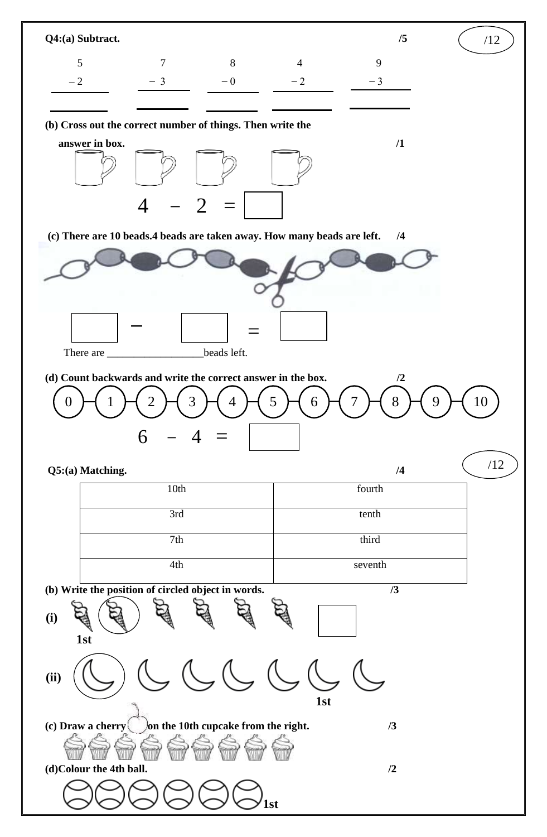